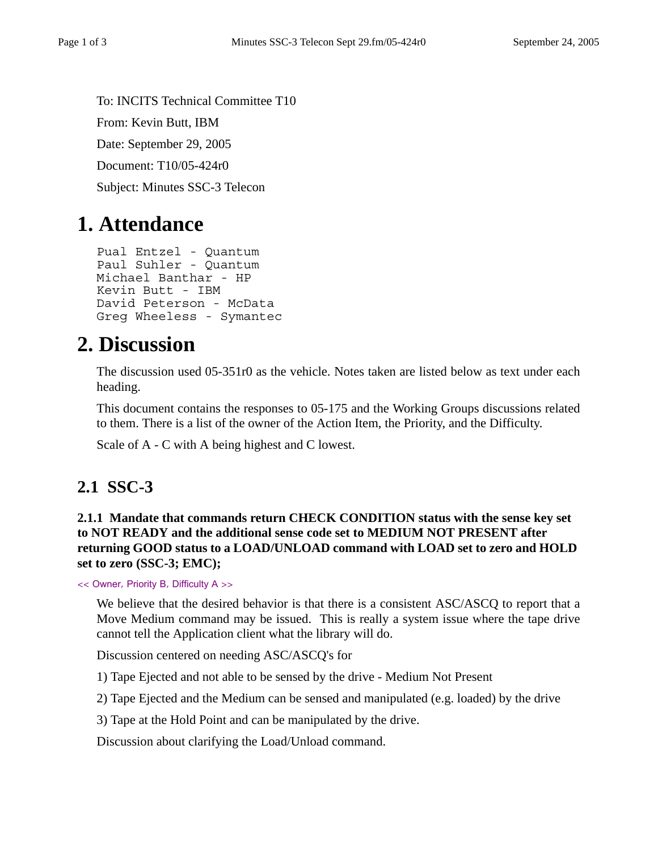To: INCITS Technical Committee T10 From: Kevin Butt, IBM Date: September 29, 2005 Document: T10/05-424r0 Subject: Minutes SSC-3 Telecon

# **1. Attendance**

```
Pual Entzel - Quantum
Paul Suhler - Quantum
Michael Banthar - HP
Kevin Butt - IBM
David Peterson - McData
Greg Wheeless - Symantec
```
# **2. Discussion**

The discussion used 05-351r0 as the vehicle. Notes taken are listed below as text under each heading.

This document contains the responses to 05-175 and the Working Groups discussions related to them. There is a list of the owner of the Action Item, the Priority, and the Difficulty.

Scale of A - C with A being highest and C lowest.

# **2.1 SSC-3**

**2.1.1 Mandate that commands return CHECK CONDITION status with the sense key set to NOT READY and the additional sense code set to MEDIUM NOT PRESENT after returning GOOD status to a LOAD/UNLOAD command with LOAD set to zero and HOLD set to zero (SSC-3; EMC);** 

<< Owner, Priority B, Difficulty A >>

We believe that the desired behavior is that there is a consistent ASC/ASCQ to report that a Move Medium command may be issued. This is really a system issue where the tape drive cannot tell the Application client what the library will do.

Discussion centered on needing ASC/ASCQ's for

1) Tape Ejected and not able to be sensed by the drive - Medium Not Present

2) Tape Ejected and the Medium can be sensed and manipulated (e.g. loaded) by the drive

3) Tape at the Hold Point and can be manipulated by the drive.

Discussion about clarifying the Load/Unload command.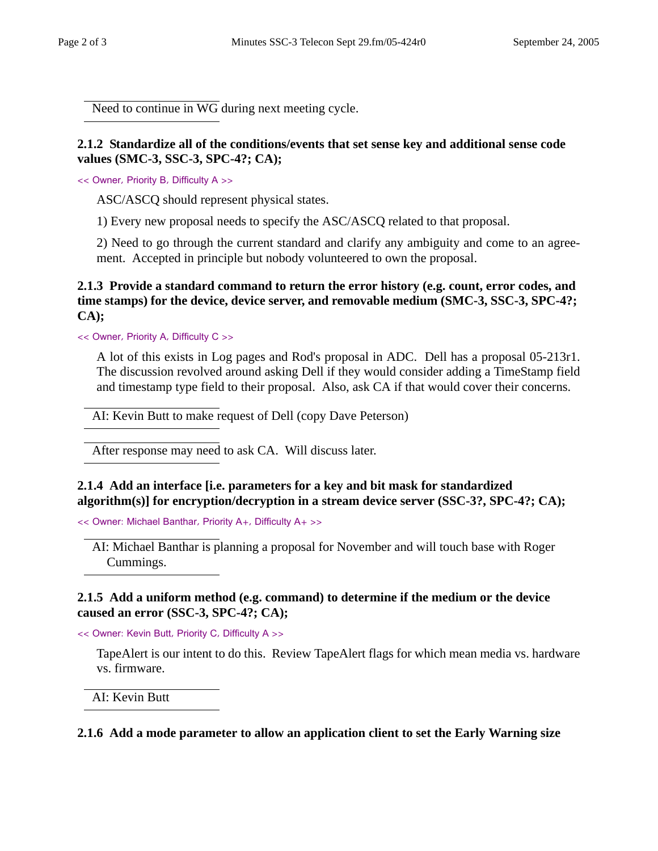Need to continue in WG during next meeting cycle.

# **2.1.2 Standardize all of the conditions/events that set sense key and additional sense code values (SMC-3, SSC-3, SPC-4?; CA);**

<< Owner, Priority B, Difficulty A >>

ASC/ASCQ should represent physical states.

1) Every new proposal needs to specify the ASC/ASCQ related to that proposal.

2) Need to go through the current standard and clarify any ambiguity and come to an agreement. Accepted in principle but nobody volunteered to own the proposal.

# **2.1.3 Provide a standard command to return the error history (e.g. count, error codes, and time stamps) for the device, device server, and removable medium (SMC-3, SSC-3, SPC-4?; CA);**

<< Owner, Priority A, Difficulty C >>

A lot of this exists in Log pages and Rod's proposal in ADC. Dell has a proposal 05-213r1. The discussion revolved around asking Dell if they would consider adding a TimeStamp field and timestamp type field to their proposal. Also, ask CA if that would cover their concerns.

AI: Kevin Butt to make request of Dell (copy Dave Peterson)

After response may need to ask CA. Will discuss later.

# **2.1.4 Add an interface [i.e. parameters for a key and bit mask for standardized algorithm(s)] for encryption/decryption in a stream device server (SSC-3?, SPC-4?; CA);**

<< Owner: Michael Banthar, Priority A+, Difficulty A+ >>

AI: Michael Banthar is planning a proposal for November and will touch base with Roger Cummings.

#### **2.1.5 Add a uniform method (e.g. command) to determine if the medium or the device caused an error (SSC-3, SPC-4?; CA);**

<< Owner: Kevin Butt, Priority C, Difficulty A >>

TapeAlert is our intent to do this. Review TapeAlert flags for which mean media vs. hardware vs. firmware.

AI: Kevin Butt

**2.1.6 Add a mode parameter to allow an application client to set the Early Warning size**